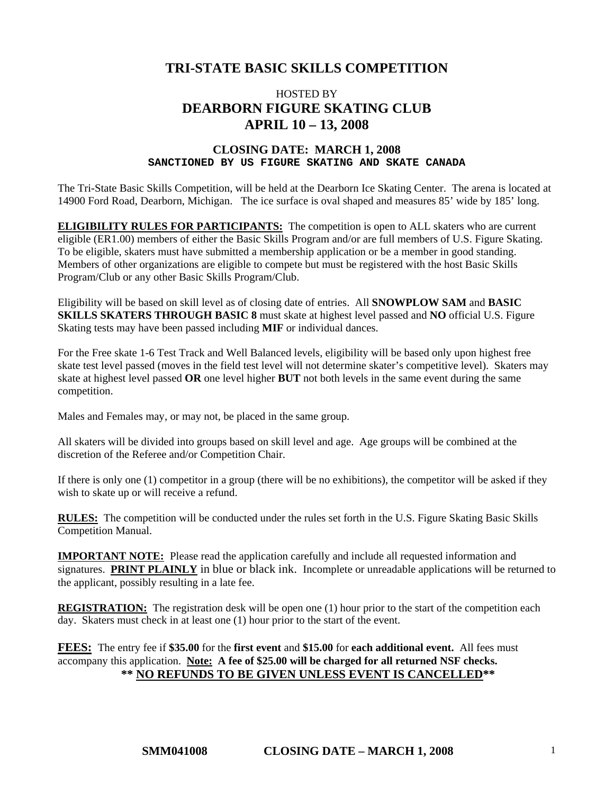# **TRI-STATE BASIC SKILLS COMPETITION**

## HOSTED BY **DEARBORN FIGURE SKATING CLUB APRIL 10 – 13, 2008**

#### **CLOSING DATE: MARCH 1, 2008 SANCTIONED BY US FIGURE SKATING AND SKATE CANADA**

The Tri-State Basic Skills Competition, will be held at the Dearborn Ice Skating Center. The arena is located at 14900 Ford Road, Dearborn, Michigan. The ice surface is oval shaped and measures 85' wide by 185' long.

**ELIGIBILITY RULES FOR PARTICIPANTS:** The competition is open to ALL skaters who are current eligible (ER1.00) members of either the Basic Skills Program and/or are full members of U.S. Figure Skating. To be eligible, skaters must have submitted a membership application or be a member in good standing. Members of other organizations are eligible to compete but must be registered with the host Basic Skills Program/Club or any other Basic Skills Program/Club.

Eligibility will be based on skill level as of closing date of entries. All **SNOWPLOW SAM** and **BASIC SKILLS SKATERS THROUGH BASIC 8** must skate at highest level passed and **NO** official U.S. Figure Skating tests may have been passed including **MIF** or individual dances.

For the Free skate 1-6 Test Track and Well Balanced levels, eligibility will be based only upon highest free skate test level passed (moves in the field test level will not determine skater's competitive level). Skaters may skate at highest level passed **OR** one level higher **BUT** not both levels in the same event during the same competition.

Males and Females may, or may not, be placed in the same group.

All skaters will be divided into groups based on skill level and age. Age groups will be combined at the discretion of the Referee and/or Competition Chair.

If there is only one (1) competitor in a group (there will be no exhibitions), the competitor will be asked if they wish to skate up or will receive a refund.

**RULES:** The competition will be conducted under the rules set forth in the U.S. Figure Skating Basic Skills Competition Manual.

**IMPORTANT NOTE:** Please read the application carefully and include all requested information and signatures. **PRINT PLAINLY** in blue or black ink. Incomplete or unreadable applications will be returned to the applicant, possibly resulting in a late fee.

**REGISTRATION:** The registration desk will be open one (1) hour prior to the start of the competition each day. Skaters must check in at least one (1) hour prior to the start of the event.

**FEES:** The entry fee if **\$35.00** for the **first event** and **\$15.00** for **each additional event.** All fees must accompany this application. **Note: A fee of \$25.00 will be charged for all returned NSF checks. \*\* NO REFUNDS TO BE GIVEN UNLESS EVENT IS CANCELLED\*\***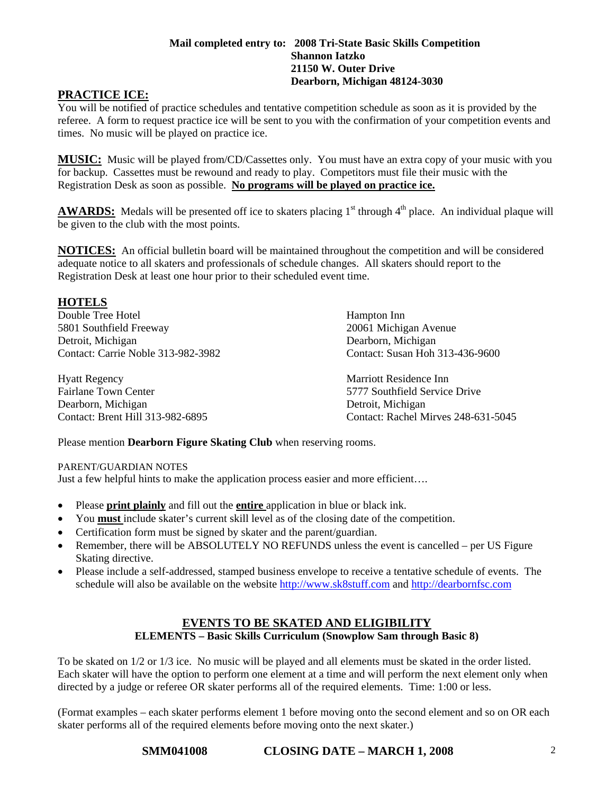### **Mail completed entry to: 2008 Tri-State Basic Skills Competition Shannon Iatzko 21150 W. Outer Drive Dearborn, Michigan 48124-3030**

## **PRACTICE ICE:**

You will be notified of practice schedules and tentative competition schedule as soon as it is provided by the referee. A form to request practice ice will be sent to you with the confirmation of your competition events and times. No music will be played on practice ice.

**MUSIC:** Music will be played from/CD/Cassettes only. You must have an extra copy of your music with you for backup. Cassettes must be rewound and ready to play. Competitors must file their music with the Registration Desk as soon as possible. **No programs will be played on practice ice.**

**AWARDS:** Medals will be presented off ice to skaters placing  $1<sup>st</sup>$  through  $4<sup>th</sup>$  place. An individual plaque will be given to the club with the most points.

**NOTICES:** An official bulletin board will be maintained throughout the competition and will be considered adequate notice to all skaters and professionals of schedule changes. All skaters should report to the Registration Desk at least one hour prior to their scheduled event time.

### **HOTELS**

Double Tree Hotel Hampton Inn 5801 Southfield Freeway 20061 Michigan Avenue Detroit, Michigan Dearborn, Michigan Contact: Carrie Noble 313-982-3982 Contact: Susan Hoh 313-436-9600

Hyatt Regency Marriott Residence Inn Fairlane Town Center **5777** Southfield Service Drive Dearborn, Michigan Detroit, Michigan

Contact: Brent Hill 313-982-6895 Contact: Rachel Mirves 248-631-5045

Please mention **Dearborn Figure Skating Club** when reserving rooms.

#### PARENT/GUARDIAN NOTES

Just a few helpful hints to make the application process easier and more efficient….

- Please **print plainly** and fill out the **entire** application in blue or black ink.
- You **must** include skater's current skill level as of the closing date of the competition.
- Certification form must be signed by skater and the parent/guardian.
- Remember, there will be ABSOLUTELY NO REFUNDS unless the event is cancelled per US Figure Skating directive.
- Please include a self-addressed, stamped business envelope to receive a tentative schedule of events. The schedule will also be available on the website [http://www.sk8stuff.com](http://www.sk8stuff.com/) and [http://dearbornfsc.com](http://wyandottefigureskatingclub.com/)

#### **EVENTS TO BE SKATED AND ELIGIBILITY ELEMENTS – Basic Skills Curriculum (Snowplow Sam through Basic 8)**

To be skated on 1/2 or 1/3 ice. No music will be played and all elements must be skated in the order listed. Each skater will have the option to perform one element at a time and will perform the next element only when directed by a judge or referee OR skater performs all of the required elements. Time: 1:00 or less.

(Format examples – each skater performs element 1 before moving onto the second element and so on OR each skater performs all of the required elements before moving onto the next skater.)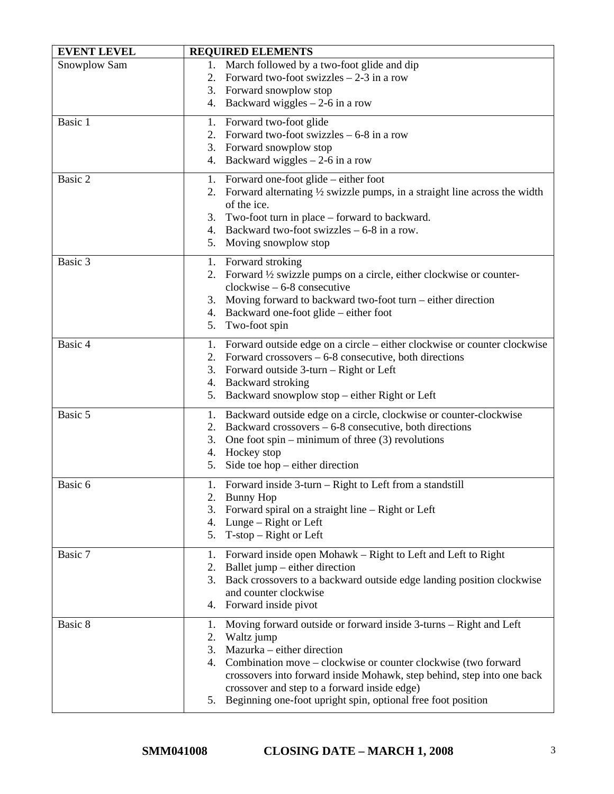| <b>EVENT LEVEL</b> | <b>REQUIRED ELEMENTS</b>                                                                                                                                                                                                                                                                                                                                                                                |
|--------------------|---------------------------------------------------------------------------------------------------------------------------------------------------------------------------------------------------------------------------------------------------------------------------------------------------------------------------------------------------------------------------------------------------------|
| Snowplow Sam       | 1. March followed by a two-foot glide and dip<br>2. Forward two-foot swizzles $-2-3$ in a row<br>3. Forward snowplow stop<br>Backward wiggles $-2$ -6 in a row<br>4.                                                                                                                                                                                                                                    |
| Basic 1            | Forward two-foot glide<br>1.<br>Forward two-foot swizzles $-6-8$ in a row<br>2.<br>Forward snowplow stop<br>3.<br>Backward wiggles $-2$ -6 in a row<br>4.                                                                                                                                                                                                                                               |
| Basic 2            | 1. Forward one-foot glide – either foot<br>2. Forward alternating $\frac{1}{2}$ swizzle pumps, in a straight line across the width<br>of the ice.<br>Two-foot turn in place – forward to backward.<br>3.<br>4. Backward two-foot swizzles $-6-8$ in a row.<br>Moving snowplow stop<br>5.                                                                                                                |
| Basic 3            | 1. Forward stroking<br>Forward 1/2 swizzle pumps on a circle, either clockwise or counter-<br>2.<br>$clockwise - 6-8 consecutive$<br>3. Moving forward to backward two-foot turn – either direction<br>4. Backward one-foot glide – either foot<br>Two-foot spin<br>5.                                                                                                                                  |
| Basic 4            | Forward outside edge on a circle – either clockwise or counter clockwise<br>1.<br>Forward crossovers $-6-8$ consecutive, both directions<br>2.<br>Forward outside 3-turn - Right or Left<br>3.<br>4. Backward stroking<br>Backward snowplow stop – either Right or Left<br>5.                                                                                                                           |
| Basic 5            | Backward outside edge on a circle, clockwise or counter-clockwise<br>1.<br>Backward crossovers – 6-8 consecutive, both directions<br>2.<br>3.<br>One foot spin – minimum of three $(3)$ revolutions<br>Hockey stop<br>4.<br>Side toe hop $-$ either direction<br>5.                                                                                                                                     |
| Basic 6            | 1. Forward inside 3-turn – Right to Left from a standstill<br>2. Bunny Hop<br>3.<br>Forward spiral on a straight line – Right or Left<br>4. Lunge – Right or Left<br>5. T-stop – Right or Left                                                                                                                                                                                                          |
| Basic 7            | Forward inside open Mohawk – Right to Left and Left to Right<br>1.<br>Ballet jump – either direction<br>2.<br>3.<br>Back crossovers to a backward outside edge landing position clockwise<br>and counter clockwise<br>Forward inside pivot<br>4.                                                                                                                                                        |
| Basic 8            | Moving forward outside or forward inside 3-turns - Right and Left<br>1.<br>Waltz jump<br>2.<br>Mazurka – either direction<br>3.<br>Combination move – clockwise or counter clockwise (two forward<br>4.<br>crossovers into forward inside Mohawk, step behind, step into one back<br>crossover and step to a forward inside edge)<br>Beginning one-foot upright spin, optional free foot position<br>5. |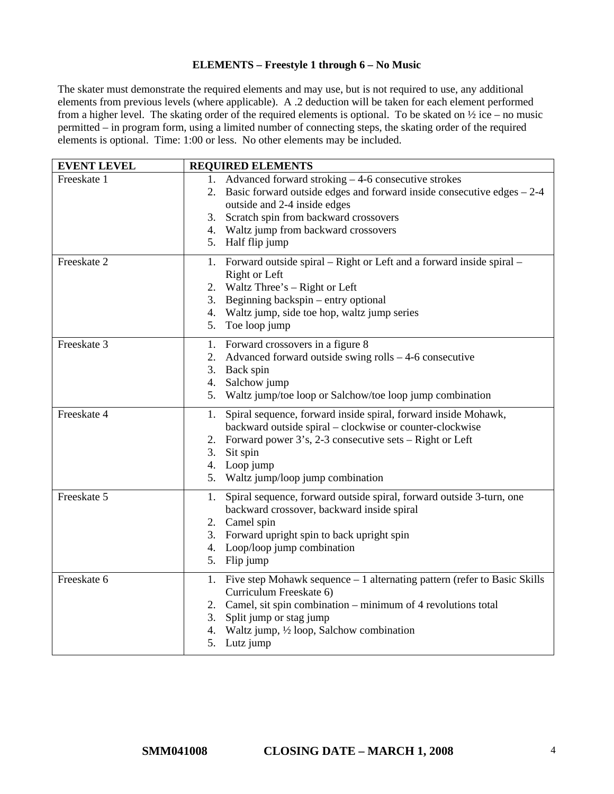#### **ELEMENTS – Freestyle 1 through 6 – No Music**

The skater must demonstrate the required elements and may use, but is not required to use, any additional elements from previous levels (where applicable). A .2 deduction will be taken for each element performed from a higher level. The skating order of the required elements is optional. To be skated on ½ ice – no music permitted – in program form, using a limited number of connecting steps, the skating order of the required elements is optional. Time: 1:00 or less. No other elements may be included.

| <b>EVENT LEVEL</b> | <b>REQUIRED ELEMENTS</b>                                                                                                                                                                                                                                                           |
|--------------------|------------------------------------------------------------------------------------------------------------------------------------------------------------------------------------------------------------------------------------------------------------------------------------|
| Freeskate 1        | 1. Advanced forward stroking – 4-6 consecutive strokes<br>2. Basic forward outside edges and forward inside consecutive edges $-2-4$<br>outside and 2-4 inside edges<br>Scratch spin from backward crossovers<br>3.<br>4. Waltz jump from backward crossovers<br>5. Half flip jump |
| Freeskate 2        | 1. Forward outside spiral – Right or Left and a forward inside spiral –<br>Right or Left<br>2. Waltz Three's – Right or Left<br>Beginning backspin – entry optional<br>3.<br>4. Waltz jump, side toe hop, waltz jump series<br>5. Toe loop jump                                    |
| Freeskate 3        | 1. Forward crossovers in a figure 8<br>Advanced forward outside swing rolls $-4$ -6 consecutive<br>2.<br>3. Back spin<br>Salchow jump<br>4.<br>5. Waltz jump/toe loop or Salchow/toe loop jump combination                                                                         |
| Freeskate 4        | Spiral sequence, forward inside spiral, forward inside Mohawk,<br>1.<br>backward outside spiral – clockwise or counter-clockwise<br>Forward power 3's, 2-3 consecutive sets – Right or Left<br>2.<br>Sit spin<br>3.<br>4. Loop jump<br>5. Waltz jump/loop jump combination         |
| Freeskate 5        | Spiral sequence, forward outside spiral, forward outside 3-turn, one<br>1.<br>backward crossover, backward inside spiral<br>2. Camel spin<br>3. Forward upright spin to back upright spin<br>4. Loop/loop jump combination<br>5. Flip jump                                         |
| Freeskate 6        | 1. Five step Mohawk sequence – 1 alternating pattern (refer to Basic Skills<br>Curriculum Freeskate 6)<br>2. Camel, sit spin combination – minimum of 4 revolutions total<br>Split jump or stag jump<br>3.<br>Waltz jump, 1/2 loop, Salchow combination<br>4.<br>Lutz jump<br>5.   |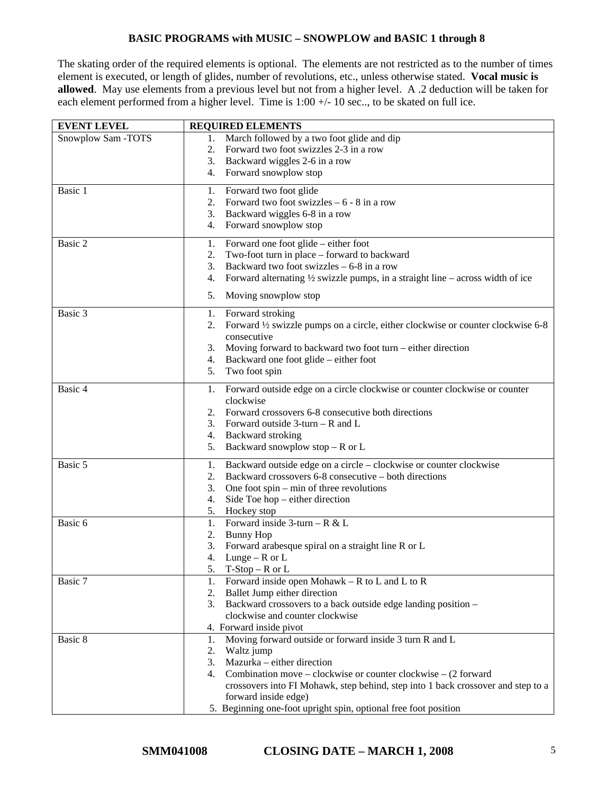### **BASIC PROGRAMS with MUSIC – SNOWPLOW and BASIC 1 through 8**

The skating order of the required elements is optional. The elements are not restricted as to the number of times element is executed, or length of glides, number of revolutions, etc., unless otherwise stated. **Vocal music is allowed**. May use elements from a previous level but not from a higher level. A .2 deduction will be taken for each element performed from a higher level. Time is 1:00 +/- 10 sec.., to be skated on full ice.

| <b>EVENT LEVEL</b> | <b>REQUIRED ELEMENTS</b>                                                                              |
|--------------------|-------------------------------------------------------------------------------------------------------|
| Snowplow Sam -TOTS | March followed by a two foot glide and dip<br>1.                                                      |
|                    | 2.<br>Forward two foot swizzles 2-3 in a row                                                          |
|                    | 3.<br>Backward wiggles 2-6 in a row                                                                   |
|                    | 4. Forward snowplow stop                                                                              |
| Basic 1            | Forward two foot glide<br>1.                                                                          |
|                    | Forward two foot swizzles $-6 - 8$ in a row<br>2.                                                     |
|                    | Backward wiggles 6-8 in a row<br>3.                                                                   |
|                    | 4.<br>Forward snowplow stop                                                                           |
| Basic 2            | Forward one foot glide – either foot<br>1.                                                            |
|                    | Two-foot turn in place – forward to backward<br>2.                                                    |
|                    | Backward two foot swizzles $-6-8$ in a row<br>3.                                                      |
|                    | Forward alternating $\frac{1}{2}$ swizzle pumps, in a straight line – across width of ice<br>4.       |
|                    | 5.<br>Moving snowplow stop                                                                            |
| Basic 3            | 1. Forward stroking                                                                                   |
|                    | Forward 1/2 swizzle pumps on a circle, either clockwise or counter clockwise 6-8<br>2.<br>consecutive |
|                    | Moving forward to backward two foot turn - either direction<br>3.                                     |
|                    | Backward one foot glide – either foot<br>4.                                                           |
|                    | 5.<br>Two foot spin                                                                                   |
| Basic 4            | Forward outside edge on a circle clockwise or counter clockwise or counter<br>1.                      |
|                    | clockwise                                                                                             |
|                    | Forward crossovers 6-8 consecutive both directions<br>2.                                              |
|                    | 3. Forward outside $3$ -turn – R and L                                                                |
|                    | 4. Backward stroking                                                                                  |
|                    | Backward snowplow stop $-$ R or L<br>5.                                                               |
| Basic 5            | Backward outside edge on a circle – clockwise or counter clockwise<br>1.                              |
|                    | Backward crossovers 6-8 consecutive – both directions<br>2.                                           |
|                    | One foot $spin - min$ of three revolutions<br>3.                                                      |
|                    | Side Toe hop $-$ either direction<br>4.                                                               |
|                    | 5.<br>Hockey stop                                                                                     |
| Basic 6            | Forward inside $3$ -turn – R & L<br>1.                                                                |
|                    | 2.<br><b>Bunny Hop</b>                                                                                |
|                    | 3.<br>Forward arabesque spiral on a straight line R or L                                              |
|                    | Lunge – $R$ or $L$<br>4.                                                                              |
|                    | $T-Stop-R$ or $L$<br>5.                                                                               |
| Basic 7            | Forward inside open Mohawk – R to L and L to R<br>1.                                                  |
|                    | Ballet Jump either direction<br>2.<br>3.                                                              |
|                    | Backward crossovers to a back outside edge landing position -<br>clockwise and counter clockwise      |
|                    | 4. Forward inside pivot                                                                               |
| Basic 8            | Moving forward outside or forward inside 3 turn R and L<br>1.                                         |
|                    | 2.<br>Waltz jump                                                                                      |
|                    | Mazurka - either direction<br>3.                                                                      |
|                    | Combination move – clockwise or counter clockwise – $(2$ forward<br>4.                                |
|                    | crossovers into FI Mohawk, step behind, step into 1 back crossover and step to a                      |
|                    | forward inside edge)                                                                                  |
|                    | 5. Beginning one-foot upright spin, optional free foot position                                       |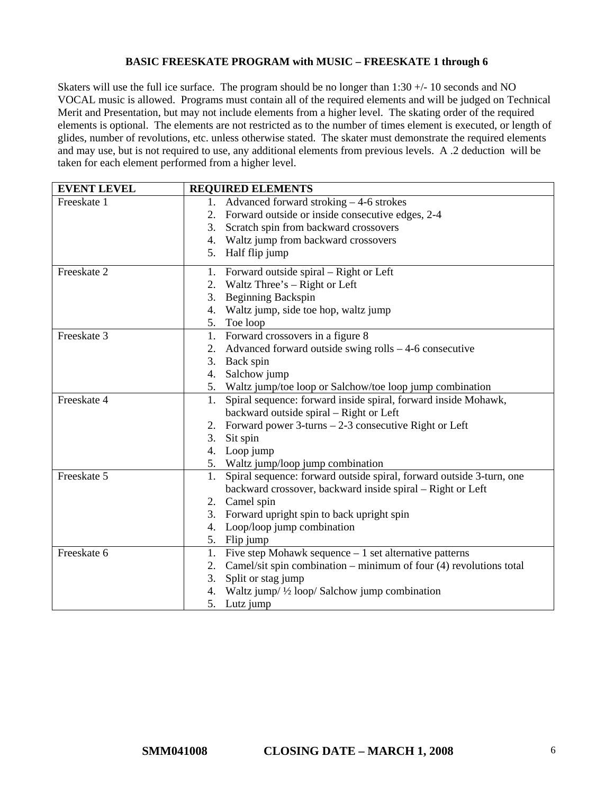#### **BASIC FREESKATE PROGRAM with MUSIC – FREESKATE 1 through 6**

Skaters will use the full ice surface. The program should be no longer than  $1:30 +/10$  seconds and NO VOCAL music is allowed. Programs must contain all of the required elements and will be judged on Technical Merit and Presentation, but may not include elements from a higher level. The skating order of the required elements is optional. The elements are not restricted as to the number of times element is executed, or length of glides, number of revolutions, etc. unless otherwise stated. The skater must demonstrate the required elements and may use, but is not required to use, any additional elements from previous levels. A .2 deduction will be taken for each element performed from a higher level.

| <b>EVENT LEVEL</b> | <b>REQUIRED ELEMENTS</b>                                                   |
|--------------------|----------------------------------------------------------------------------|
| Freeskate 1        | 1. Advanced forward stroking - 4-6 strokes                                 |
|                    | 2. Forward outside or inside consecutive edges, 2-4                        |
|                    | Scratch spin from backward crossovers<br>3.                                |
|                    | 4. Waltz jump from backward crossovers                                     |
|                    | 5. Half flip jump                                                          |
| Freeskate 2        | 1. Forward outside spiral – Right or Left                                  |
|                    | 2. Waltz Three's – Right or Left                                           |
|                    | <b>Beginning Backspin</b><br>3.                                            |
|                    | Waltz jump, side toe hop, waltz jump<br>4.                                 |
|                    | 5. Toe loop                                                                |
| Freeskate 3        | 1. Forward crossovers in a figure 8                                        |
|                    | Advanced forward outside swing rolls - 4-6 consecutive<br>2.               |
|                    | Back spin<br>3.                                                            |
|                    | Salchow jump<br>4.                                                         |
|                    | 5. Waltz jump/toe loop or Salchow/toe loop jump combination                |
| Freeskate 4        | Spiral sequence: forward inside spiral, forward inside Mohawk,<br>1.       |
|                    | backward outside spiral - Right or Left                                    |
|                    | 2. Forward power $3$ -turns $-2$ -3 consecutive Right or Left              |
|                    | 3.<br>Sit spin                                                             |
|                    | 4. Loop jump                                                               |
|                    | 5. Waltz jump/loop jump combination                                        |
| Freeskate 5        | Spiral sequence: forward outside spiral, forward outside 3-turn, one<br>1. |
|                    | backward crossover, backward inside spiral – Right or Left                 |
|                    | 2. Camel spin                                                              |
|                    | Forward upright spin to back upright spin<br>3.                            |
|                    | 4. Loop/loop jump combination                                              |
|                    | 5. Flip jump                                                               |
| Freeskate 6        | 1. Five step Mohawk sequence $-1$ set alternative patterns                 |
|                    | Camel/sit spin combination - minimum of four (4) revolutions total<br>2.   |
|                    | Split or stag jump<br>3.                                                   |
|                    | 4. Waltz jump/ 1/2 loop/ Salchow jump combination                          |
|                    | 5.<br>Lutz jump                                                            |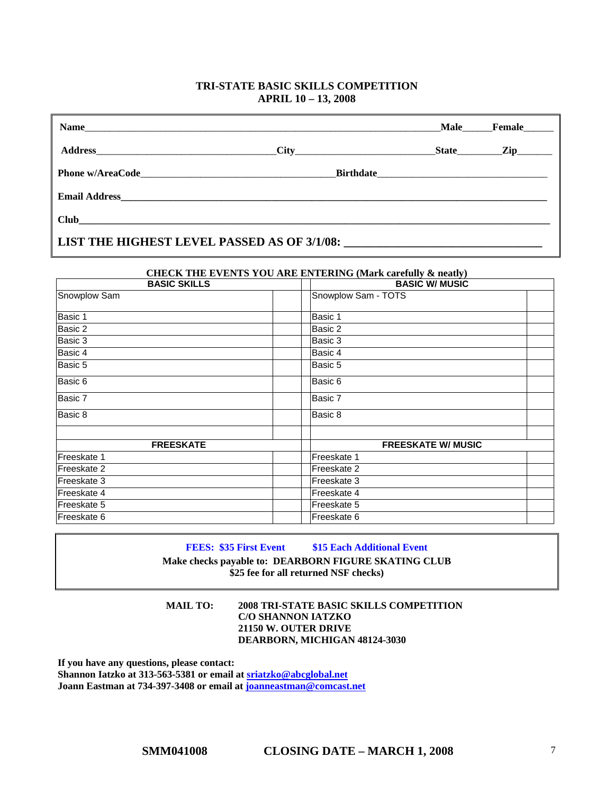#### **TRI-STATE BASIC SKILLS COMPETITION APRIL 10 – 13, 2008**

| Name                                        |  |  |  | Male Female |
|---------------------------------------------|--|--|--|-------------|
|                                             |  |  |  | State Zip   |
|                                             |  |  |  |             |
|                                             |  |  |  |             |
|                                             |  |  |  |             |
| LIST THE HIGHEST LEVEL PASSED AS OF 3/1/08: |  |  |  |             |

# **CHECK THE EVENTS YOU ARE ENTERING (Mark carefully & neatly)**

| <b>BASIC SKILLS</b> | <b>BASIC W/ MUSIC</b>     |  |
|---------------------|---------------------------|--|
| Snowplow Sam        | Snowplow Sam - TOTS       |  |
| Basic 1             | Basic 1                   |  |
| Basic 2             | Basic 2                   |  |
| Basic 3             | Basic 3                   |  |
| Basic 4             | Basic 4                   |  |
| Basic 5             | Basic 5                   |  |
| Basic 6             | Basic 6                   |  |
| Basic 7             | Basic 7                   |  |
| Basic 8             | Basic 8                   |  |
|                     |                           |  |
| <b>FREESKATE</b>    | <b>FREESKATE W/ MUSIC</b> |  |
| Freeskate 1         | Freeskate 1               |  |
| Freeskate 2         | Freeskate 2               |  |
| Freeskate 3         | Freeskate 3               |  |
| Freeskate 4         | Freeskate 4               |  |
| Freeskate 5         | Freeskate 5               |  |
| Freeskate 6         | Freeskate 6               |  |

**FEES:** \$35 First Event \$15 Each Additional Event

**Make checks payable to: DEARBORN FIGURE SKATING CLUB \$25 fee for all returned NSF checks)** 

**MAIL TO: 2008 TRI-STATE BASIC SKILLS COMPETITION C/O SHANNON IATZKO 21150 W. OUTER DRIVE DEARBORN, MICHIGAN 48124-3030** 

**If you have any questions, please contact: Shannon Iatzko at 313-563-5381 or email at [sriatzko@abcglobal.net](mailto:sriatzko@abcglobal.net) Joann Eastman at 734-397-3408 or email at [joanneastman@comcast.net](mailto:joanneastman@comcast.net)**